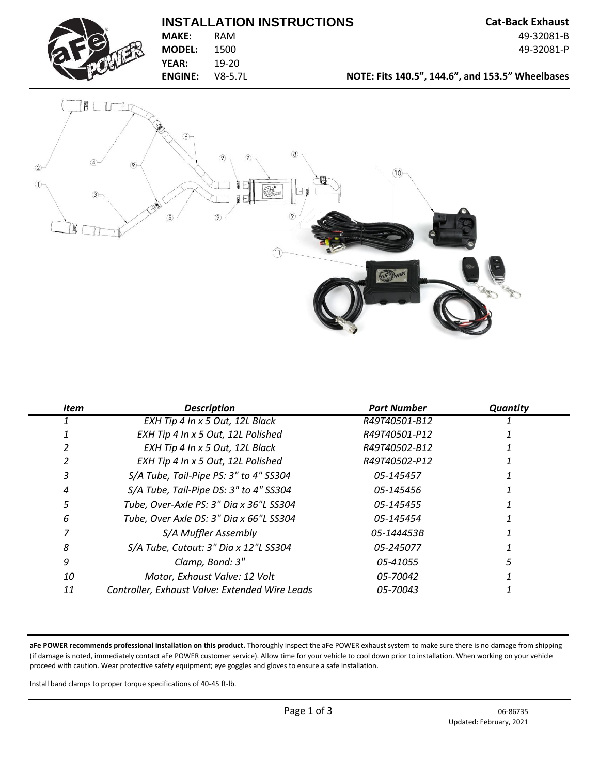## **INSTALLATION INSTRUCTIONS Cat-Back Exhaust**



**MODEL:** 1500 49-32081-P **YEAR:** 19-20

**MAKE:** RAM 49-32081-B

**ENGINE:** V8-5.7L **NOTE: Fits 140.5", 144.6", and 153.5" Wheelbases**



| <b>Item</b> | <b>Description</b>                             | <b>Part Number</b> | Quantity |
|-------------|------------------------------------------------|--------------------|----------|
|             | EXH Tip 4 In x 5 Out, 12L Black                | R49T40501-B12      |          |
|             | EXH Tip 4 In x 5 Out, 12L Polished             | R49T40501-P12      |          |
|             | EXH Tip 4 In x 5 Out, 12L Black                | R49T40502-B12      |          |
|             | EXH Tip 4 In x 5 Out, 12L Polished             | R49T40502-P12      |          |
|             | S/A Tube, Tail-Pipe PS: 3" to 4" SS304         | 05-145457          |          |
|             | S/A Tube, Tail-Pipe DS: 3" to 4" SS304         | 05-145456          |          |
|             | Tube, Over-Axle PS: 3" Dia x 36"L SS304        | 05-145455          |          |
| 6           | Tube, Over Axle DS: 3" Dia x 66"L SS304        | 05-145454          |          |
|             | S/A Muffler Assembly                           | 05-144453B         |          |
| 8           | S/A Tube, Cutout: 3" Dia x 12"L SS304          | 05-245077          |          |
| 9           | Clamp, Band: 3"                                | 05-41055           |          |
| 10          | Motor, Exhaust Valve: 12 Volt                  | 05-70042           |          |
| 11          | Controller, Exhaust Valve: Extended Wire Leads | 05-70043           |          |

**aFe POWER recommends professional installation on this product.** Thoroughly inspect the aFe POWER exhaust system to make sure there is no damage from shipping (if damage is noted, immediately contact aFe POWER customer service). Allow time for your vehicle to cool down prior to installation. When working on your vehicle proceed with caution. Wear protective safety equipment; eye goggles and gloves to ensure a safe installation.

Install band clamps to proper torque specifications of 40-45 ft-lb.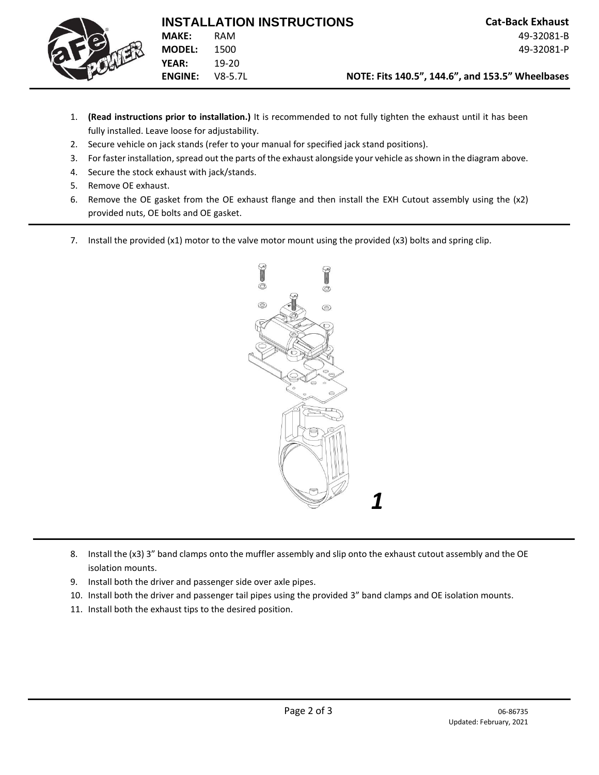

- 1. **(Read instructions prior to installation.)** It is recommended to not fully tighten the exhaust until it has been fully installed. Leave loose for adjustability.
- 2. Secure vehicle on jack stands (refer to your manual for specified jack stand positions).
- 3. For faster installation, spread out the parts of the exhaust alongside your vehicle as shown in the diagram above.
- 4. Secure the stock exhaust with jack/stands.
- 5. Remove OE exhaust.
- 6. Remove the OE gasket from the OE exhaust flange and then install the EXH Cutout assembly using the (x2) provided nuts, OE bolts and OE gasket.
- 7. Install the provided (x1) motor to the valve motor mount using the provided (x3) bolts and spring clip.



- 8. Install the (x3) 3" band clamps onto the muffler assembly and slip onto the exhaust cutout assembly and the OE isolation mounts.
- 9. Install both the driver and passenger side over axle pipes.
- 10. Install both the driver and passenger tail pipes using the provided 3" band clamps and OE isolation mounts.
- 11. Install both the exhaust tips to the desired position.